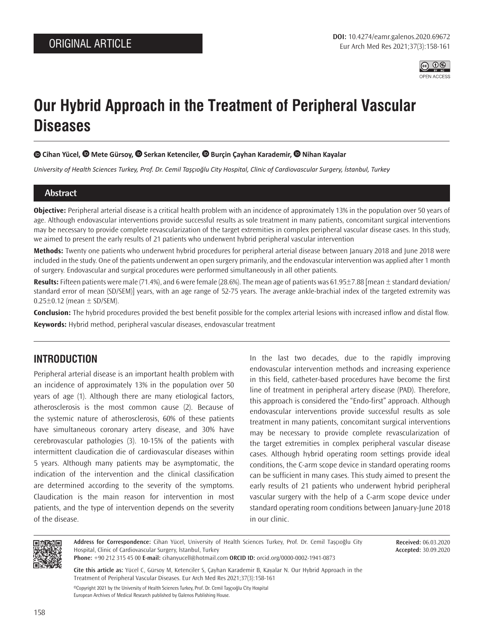

# **Our Hybrid Approach in the Treatment of Peripheral Vascular Diseases**

## **Cihan Yücel, [M](https://orcid.org/0000-0002-7083-476X)ete Gürsoy[,](https://orcid.org/0000-0003-1528-6788) Serkan Ketenciler,Burçin Çayhan Karademir, [N](https://orcid.org/0000-0002-1220-7071)ihan Kayalar**

*University of Health Sciences Turkey, Prof. Dr. Cemil Taşçıoğlu City Hospital, Clinic of Cardiovascular Surgery, İstanbul, Turkey*

#### **Abstract**

**Objective:** Peripheral arterial disease is a critical health problem with an incidence of approximately 13% in the population over 50 years of age. Although endovascular interventions provide successful results as sole treatment in many patients, concomitant surgical interventions may be necessary to provide complete revascularization of the target extremities in complex peripheral vascular disease cases. In this study, we aimed to present the early results of 21 patients who underwent hybrid peripheral vascular intervention

**Methods:** Twenty one patients who underwent hybrid procedures for peripheral arterial disease between January 2018 and June 2018 were included in the study. One of the patients underwent an open surgery primarily, and the endovascular intervention was applied after 1 month of surgery. Endovascular and surgical procedures were performed simultaneously in all other patients.

**Results:** Fifteen patients were male (71.4%), and 6 were female (28.6%). The mean age of patients was 61.95±7.88 [mean ± standard deviation/ standard error of mean (SD/SEM)] years, with an age range of 52-75 years. The average ankle-brachial index of the targeted extremity was  $0.25 \pm 0.12$  (mean  $\pm$  SD/SEM).

**Conclusion:** The hybrid procedures provided the best benefit possible for the complex arterial lesions with increased inflow and distal flow. **Keywords:** Hybrid method, peripheral vascular diseases, endovascular treatment

# **INTRODUCTION**

Peripheral arterial disease is an important health problem with an incidence of approximately 13% in the population over 50 years of age (1). Although there are many etiological factors, atherosclerosis is the most common cause (2). Because of the systemic nature of atherosclerosis, 60% of these patients have simultaneous coronary artery disease, and 30% have cerebrovascular pathologies (3). 10-15% of the patients with intermittent claudication die of cardiovascular diseases within 5 years. Although many patients may be asymptomatic, the indication of the intervention and the clinical classification are determined according to the severity of the symptoms. Claudication is the main reason for intervention in most patients, and the type of intervention depends on the severity of the disease.

In the last two decades, due to the rapidly improving endovascular intervention methods and increasing experience in this field, catheter-based procedures have become the first line of treatment in peripheral artery disease (PAD). Therefore, this approach is considered the "Endo-first" approach. Although endovascular interventions provide successful results as sole treatment in many patients, concomitant surgical interventions may be necessary to provide complete revascularization of the target extremities in complex peripheral vascular disease cases. Although hybrid operating room settings provide ideal conditions, the C-arm scope device in standard operating rooms can be sufficient in many cases. This study aimed to present the early results of 21 patients who underwent hybrid peripheral vascular surgery with the help of a C-arm scope device under standard operating room conditions between January-June 2018 in our clinic.



**Address for Correspondence:** Cihan Yücel, University of Health Sciences Turkey, Prof. Dr. Cemil Taşçıoğlu City Hospital, Clinic of Cardiovascular Surgery, İstanbul, Turkey **Phone:** +90 212 315 45 00 **E-mail:** cihanyucell@hotmail.com **ORCID ID:** orcid.org/0000-0002-1941-0873

**Received:** 06.03.2020 **Accepted:** 30.09.2020

**Cite this article as:** Yücel C, Gürsoy M, Ketenciler S, Çayhan Karademir B, Kayalar N. Our Hybrid Approach in the Treatment of Peripheral Vascular Diseases. Eur Arch Med Res 2021;37(3):158-161

©Copyright 2021 by the University of Health Sciences Turkey, Prof. Dr. Cemil Taşçıoğlu City Hospital European Archives of Medical Research published by Galenos Publishing House.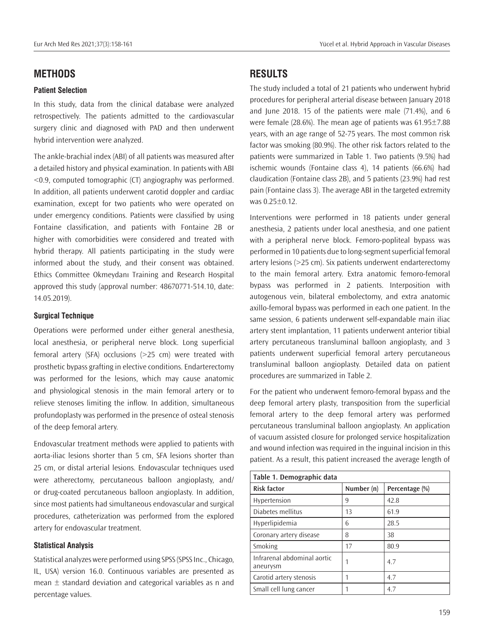## **METHODS**

#### **Patient Selection**

In this study, data from the clinical database were analyzed retrospectively. The patients admitted to the cardiovascular surgery clinic and diagnosed with PAD and then underwent hybrid intervention were analyzed.

The ankle-brachial index (ABI) of all patients was measured after a detailed history and physical examination. In patients with ABI <0.9, computed tomographic (CT) angiography was performed. In addition, all patients underwent carotid doppler and cardiac examination, except for two patients who were operated on under emergency conditions. Patients were classified by using Fontaine classification, and patients with Fontaine 2B or higher with comorbidities were considered and treated with hybrid therapy. All patients participating in the study were informed about the study, and their consent was obtained. Ethics Committee Okmeydanı Training and Research Hospital approved this study (approval number: 48670771-514.10, date: 14.05.2019).

### **Surgical Technique**

Operations were performed under either general anesthesia, local anesthesia, or peripheral nerve block. Long superficial femoral artery (SFA) occlusions (>25 cm) were treated with prosthetic bypass grafting in elective conditions. Endarterectomy was performed for the lesions, which may cause anatomic and physiological stenosis in the main femoral artery or to relieve stenoses limiting the inflow. In addition, simultaneous profundoplasty was performed in the presence of osteal stenosis of the deep femoral artery.

Endovascular treatment methods were applied to patients with aorta-iliac lesions shorter than 5 cm, SFA lesions shorter than 25 cm, or distal arterial lesions. Endovascular techniques used were atherectomy, percutaneous balloon angioplasty, and/ or drug-coated percutaneous balloon angioplasty. In addition, since most patients had simultaneous endovascular and surgical procedures, catheterization was performed from the explored artery for endovascular treatment.

#### **Statistical Analysis**

Statistical analyzes were performed using SPSS (SPSS Inc., Chicago, IL, USA) version 16.0. Continuous variables are presented as mean  $\pm$  standard deviation and categorical variables as n and percentage values.

# **RESULTS**

The study included a total of 21 patients who underwent hybrid procedures for peripheral arterial disease between January 2018 and June 2018. 15 of the patients were male (71.4%), and 6 were female (28.6%). The mean age of patients was 61.95±7.88 years, with an age range of 52-75 years. The most common risk factor was smoking (80.9%). The other risk factors related to the patients were summarized in Table 1. Two patients (9.5%) had ischemic wounds (Fontaine class 4), 14 patients (66.6%) had claudication (Fontaine class 2B), and 5 patients (23.9%) had rest pain (Fontaine class 3). The average ABI in the targeted extremity was 0.25±0.12.

Interventions were performed in 18 patients under general anesthesia, 2 patients under local anesthesia, and one patient with a peripheral nerve block. Femoro-popliteal bypass was performed in 10 patients due to long-segment superficial femoral artery lesions (>25 cm). Six patients underwent endarterectomy to the main femoral artery. Extra anatomic femoro-femoral bypass was performed in 2 patients. Interposition with autogenous vein, bilateral embolectomy, and extra anatomic axillo-femoral bypass was performed in each one patient. In the same session, 6 patients underwent self-expandable main iliac artery stent implantation, 11 patients underwent anterior tibial artery percutaneous transluminal balloon angioplasty, and 3 patients underwent superficial femoral artery percutaneous transluminal balloon angioplasty. Detailed data on patient procedures are summarized in Table 2.

For the patient who underwent femoro-femoral bypass and the deep femoral artery plasty, transposition from the superficial femoral artery to the deep femoral artery was performed percutaneous transluminal balloon angioplasty. An application of vacuum assisted closure for prolonged service hospitalization and wound infection was required in the inguinal incision in this patient. As a result, this patient increased the average length of

| Table 1. Demographic data               |            |                |
|-----------------------------------------|------------|----------------|
| <b>Risk factor</b>                      | Number (n) | Percentage (%) |
| Hypertension                            | 9          | 42.8           |
| Diabetes mellitus                       | 13         | 61.9           |
| Hyperlipidemia                          | 6          | 28.5           |
| Coronary artery disease                 | 8          | 38             |
| Smoking                                 | 17         | 80.9           |
| Infrarenal abdominal aortic<br>aneurysm |            | 4.7            |
| Carotid artery stenosis                 |            | 4.7            |
| Small cell lung cancer                  |            | 4.7            |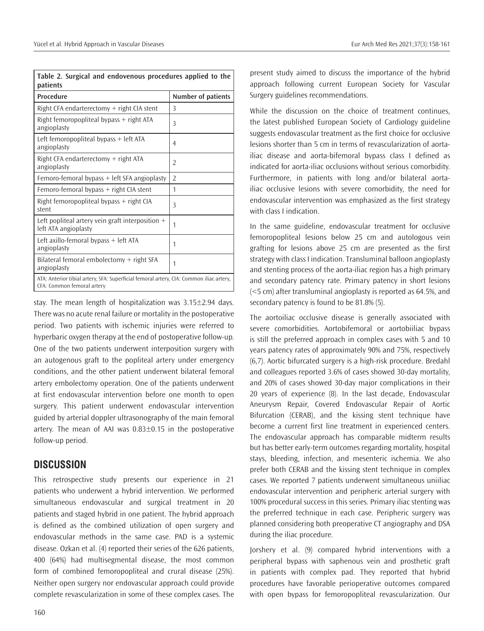| Table 2. Surgical and endovenous procedures applied to the<br>patients                                                |                    |  |
|-----------------------------------------------------------------------------------------------------------------------|--------------------|--|
| Procedure                                                                                                             | Number of patients |  |
| Right CFA endarterectomy $+$ right CIA stent                                                                          | Β                  |  |
| Right femoropopliteal bypass $+$ right ATA<br>angioplasty                                                             | 3                  |  |
| Left femoropopliteal bypass + left ATA<br>angioplasty                                                                 | 4                  |  |
| Right CFA endarterectomy + right ATA<br>angioplasty                                                                   | $\overline{2}$     |  |
| Femoro-femoral bypass $+$ left SFA angioplasty                                                                        | $\overline{2}$     |  |
| Femoro-femoral bypass + right CIA stent                                                                               | 1                  |  |
| Right femoropopliteal bypass $+$ right CIA<br>stent                                                                   | 3                  |  |
| Left popliteal artery vein graft interposition $+$<br>left ATA angioplasty                                            | 1                  |  |
| Left axillo-femoral bypass + left ATA<br>angioplasty                                                                  | 1                  |  |
| Bilateral femoral embolectomy $+$ right SFA<br>angioplasty                                                            | 1                  |  |
| ATA: Anterior tibial artery, SFA: Superficial femoral artery, CIA: Common iliac artery,<br>CFA: Common femoral artery |                    |  |

stay. The mean length of hospitalization was 3.15±2.94 days. There was no acute renal failure or mortality in the postoperative period. Two patients with ischemic injuries were referred to hyperbaric oxygen therapy at the end of postoperative follow-up. One of the two patients underwent interposition surgery with an autogenous graft to the popliteal artery under emergency conditions, and the other patient underwent bilateral femoral artery embolectomy operation. One of the patients underwent at first endovascular intervention before one month to open surgery. This patient underwent endovascular intervention guided by arterial doppler ultrasonography of the main femoral artery. The mean of AAI was  $0.83\pm0.15$  in the postoperative follow-up period.

## **DISCUSSION**

This retrospective study presents our experience in 21 patients who underwent a hybrid intervention. We performed simultaneous endovascular and surgical treatment in 20 patients and staged hybrid in one patient. The hybrid approach is defined as the combined utilization of open surgery and endovascular methods in the same case. PAD is a systemic disease. Ozkan et al. (4) reported their series of the 626 patients, 400 (64%) had multisegmental disease, the most common form of combined femoropopliteal and crural disease (25%). Neither open surgery nor endovascular approach could provide complete revascularization in some of these complex cases. The

present study aimed to discuss the importance of the hybrid approach following current European Society for Vascular Surgery guidelines recommendations.

While the discussion on the choice of treatment continues, the latest published European Society of Cardiology guideline suggests endovascular treatment as the first choice for occlusive lesions shorter than 5 cm in terms of revascularization of aortailiac disease and aorta-bifemoral bypass class I defined as indicated for aorta-iliac occlusions without serious comorbidity. Furthermore, in patients with long and/or bilateral aortailiac occlusive lesions with severe comorbidity, the need for endovascular intervention was emphasized as the first strategy with class I indication.

In the same guideline, endovascular treatment for occlusive femoropopliteal lesions below 25 cm and autologous vein grafting for lesions above 25 cm are presented as the first strategy with class I indication. Transluminal balloon angioplasty and stenting process of the aorta-iliac region has a high primary and secondary patency rate. Primary patency in short lesions (<5 cm) after transluminal angioplasty is reported as 64.5%, and secondary patency is found to be 81.8% (5).

The aortoiliac occlusive disease is generally associated with severe comorbidities. Aortobifemoral or aortobiiliac bypass is still the preferred approach in complex cases with 5 and 10 years patency rates of approximately 90% and 75%, respectively (6,7). Aortic bifurcated surgery is a high-risk procedure. Bredahl and colleagues reported 3.6% of cases showed 30-day mortality, and 20% of cases showed 30-day major complications in their 20 years of experience (8). In the last decade, Endovascular Aneurysm Repair, Covered Endovascular Repair of Aortic Bifurcation (CERAB), and the kissing stent technique have become a current first line treatment in experienced centers. The endovascular approach has comparable midterm results but has better early-term outcomes regarding mortality, hospital stays, bleeding, infection, and mesenteric ischemia. We also prefer both CERAB and the kissing stent technique in complex cases. We reported 7 patients underwent simultaneous uniiliac endovascular intervention and peripheric arterial surgery with 100% procedural success in this series. Primary iliac stenting was the preferred technique in each case. Peripheric surgery was planned considering both preoperative CT angiography and DSA during the iliac procedure.

Jorshery et al. (9) compared hybrid interventions with a peripheral bypass with saphenous vein and prosthetic graft in patients with complex pad. They reported that hybrid procedures have favorable perioperative outcomes compared with open bypass for femoropopliteal revascularization. Our